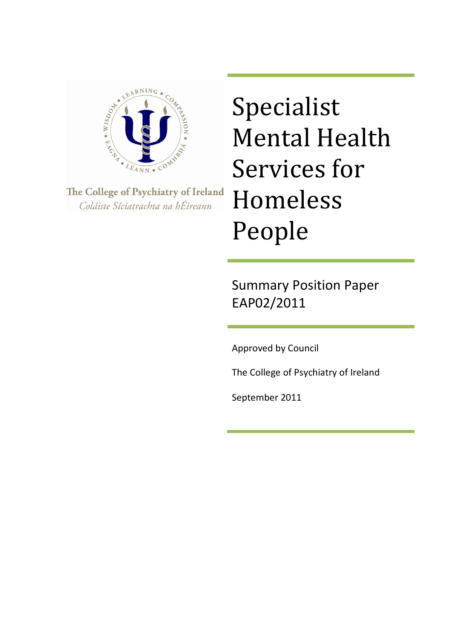

The College of Psychiatry of Ireland Coláiste Síciatrachta na hÉireann

Specialist Mental Health Services for Homeless People

Summary Position Paper EAP02/2011

Approved by Council

The College of Psychiatry of Ireland

September 2011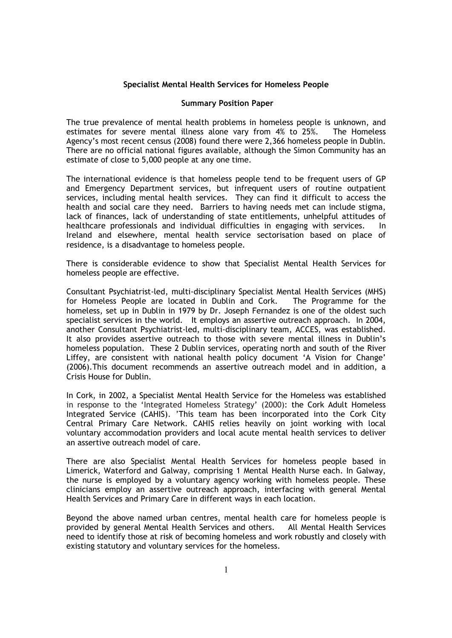## **Specialist Mental Health Services for Homeless People**

## **Summary Position Paper**

The true prevalence of mental health problems in homeless people is unknown, and estimates for severe mental illness alone vary from 4% to 25%. The Homeless Agency's most recent census (2008) found there were 2,366 homeless people in Dublin. There are no official national figures available, although the Simon Community has an estimate of close to 5,000 people at any one time.

The international evidence is that homeless people tend to be frequent users of GP and Emergency Department services, but infrequent users of routine outpatient services, including mental health services. They can find it difficult to access the health and social care they need. Barriers to having needs met can include stigma, lack of finances, lack of understanding of state entitlements, unhelpful attitudes of healthcare professionals and individual difficulties in engaging with services. In Ireland and elsewhere, mental health service sectorisation based on place of residence, is a disadvantage to homeless people.

There is considerable evidence to show that Specialist Mental Health Services for homeless people are effective.

Consultant Psychiatrist-led, multi-disciplinary Specialist Mental Health Services (MHS) for Homeless People are located in Dublin and Cork. The Programme for the homeless, set up in Dublin in 1979 by Dr. Joseph Fernandez is one of the oldest such specialist services in the world. It employs an assertive outreach approach. In 2004, another Consultant Psychiatrist-led, multi-disciplinary team, ACCES, was established. It also provides assertive outreach to those with severe mental illness in Dublin's homeless population. These 2 Dublin services, operating north and south of the River Liffey, are consistent with national health policy document 'A Vision for Change' (2006).This document recommends an assertive outreach model and in addition, a Crisis House for Dublin.

In Cork, in 2002, a Specialist Mental Health Service for the Homeless was established in response to the 'Integrated Homeless Strategy' (2000): the Cork Adult Homeless Integrated Service (CAHIS). 'This team has been incorporated into the Cork City Central Primary Care Network. CAHIS relies heavily on joint working with local voluntary accommodation providers and local acute mental health services to deliver an assertive outreach model of care.

There are also Specialist Mental Health Services for homeless people based in Limerick, Waterford and Galway, comprising 1 Mental Health Nurse each. In Galway, the nurse is employed by a voluntary agency working with homeless people. These clinicians employ an assertive outreach approach, interfacing with general Mental Health Services and Primary Care in different ways in each location.

Beyond the above named urban centres, mental health care for homeless people is provided by general Mental Health Services and others. All Mental Health Services need to identify those at risk of becoming homeless and work robustly and closely with existing statutory and voluntary services for the homeless.